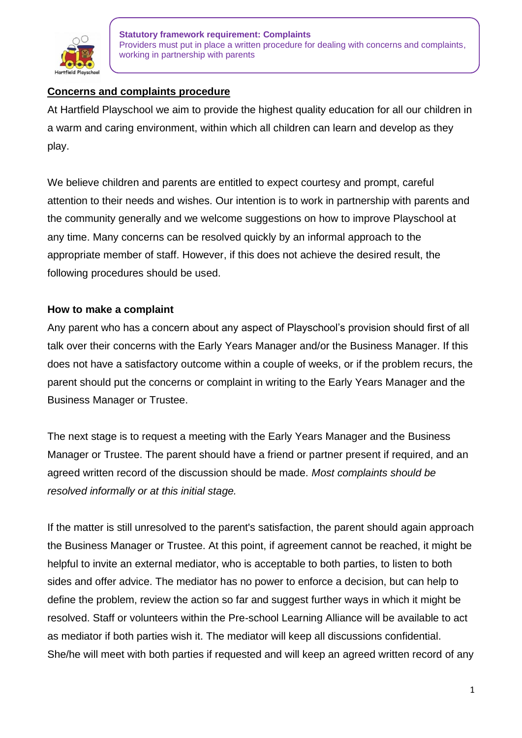

## **Concerns and complaints procedure**

At Hartfield Playschool we aim to provide the highest quality education for all our children in a warm and caring environment, within which all children can learn and develop as they play.

We believe children and parents are entitled to expect courtesy and prompt, careful attention to their needs and wishes. Our intention is to work in partnership with parents and the community generally and we welcome suggestions on how to improve Playschool at any time. Many concerns can be resolved quickly by an informal approach to the appropriate member of staff. However, if this does not achieve the desired result, the following procedures should be used.

### **How to make a complaint**

Any parent who has a concern about any aspect of Playschool's provision should first of all talk over their concerns with the Early Years Manager and/or the Business Manager. If this does not have a satisfactory outcome within a couple of weeks, or if the problem recurs, the parent should put the concerns or complaint in writing to the Early Years Manager and the Business Manager or Trustee.

The next stage is to request a meeting with the Early Years Manager and the Business Manager or Trustee. The parent should have a friend or partner present if required, and an agreed written record of the discussion should be made. *Most complaints should be resolved informally or at this initial stage.*

If the matter is still unresolved to the parent's satisfaction, the parent should again approach the Business Manager or Trustee. At this point, if agreement cannot be reached, it might be helpful to invite an external mediator, who is acceptable to both parties, to listen to both sides and offer advice. The mediator has no power to enforce a decision, but can help to define the problem, review the action so far and suggest further ways in which it might be resolved. Staff or volunteers within the Pre-school Learning Alliance will be available to act as mediator if both parties wish it. The mediator will keep all discussions confidential. She/he will meet with both parties if requested and will keep an agreed written record of any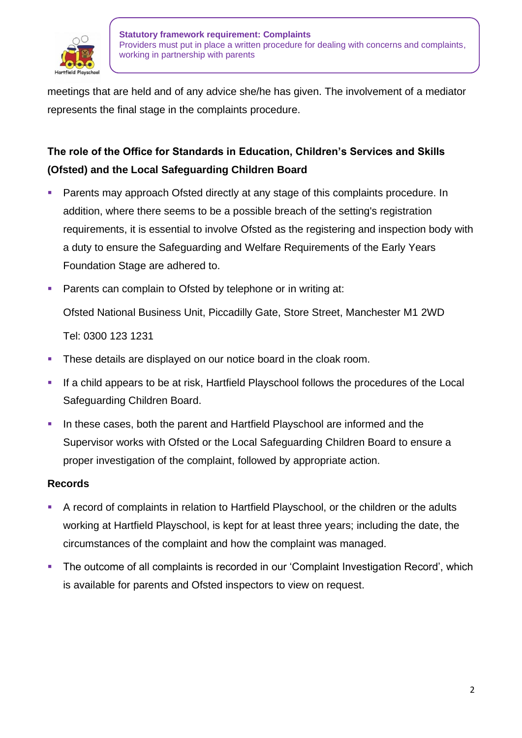

meetings that are held and of any advice she/he has given. The involvement of a mediator represents the final stage in the complaints procedure.

# **The role of the Office for Standards in Education, Children's Services and Skills (Ofsted) and the Local Safeguarding Children Board**

- Parents may approach Ofsted directly at any stage of this complaints procedure. In addition, where there seems to be a possible breach of the setting's registration requirements, it is essential to involve Ofsted as the registering and inspection body with a duty to ensure the Safeguarding and Welfare Requirements of the Early Years Foundation Stage are adhered to.
- Parents can complain to Ofsted by telephone or in writing at: Ofsted National Business Unit, Piccadilly Gate, Store Street, Manchester M1 2WD Tel: 0300 123 1231
- **.** These details are displayed on our notice board in the cloak room.
- **.** If a child appears to be at risk, Hartfield Playschool follows the procedures of the Local Safeguarding Children Board.
- In these cases, both the parent and Hartfield Playschool are informed and the Supervisor works with Ofsted or the Local Safeguarding Children Board to ensure a proper investigation of the complaint, followed by appropriate action.

#### **Records**

- A record of complaints in relation to Hartfield Playschool, or the children or the adults working at Hartfield Playschool, is kept for at least three years; including the date, the circumstances of the complaint and how the complaint was managed.
- The outcome of all complaints is recorded in our 'Complaint Investigation Record', which is available for parents and Ofsted inspectors to view on request.